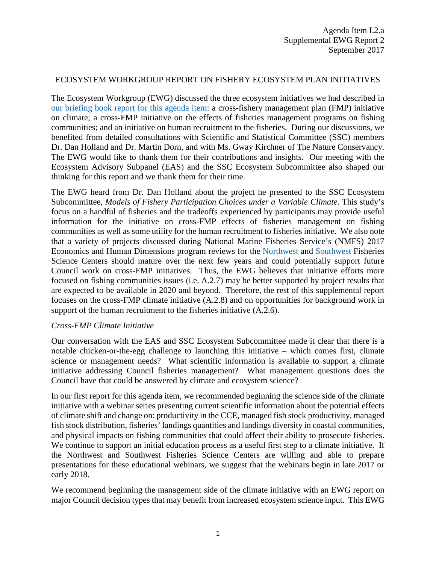## ECOSYSTEM WORKGROUP REPORT ON FISHERY ECOSYSTEM PLAN INITIATIVES

The Ecosystem Workgroup (EWG) discussed the three ecosystem initiatives we had described in [our briefing book report for this agenda item:](https://www.nwfsc.noaa.gov/news/events/program_reviews/2017/index.cfm) a cross-fishery management plan (FMP) initiative on climate; a cross-FMP initiative on the effects of fisheries management programs on fishing communities; and an initiative on human recruitment to the fisheries. During our discussions, we benefited from detailed consultations with Scientific and Statistical Committee (SSC) members Dr. Dan Holland and Dr. Martin Dorn, and with Ms. Gway Kirchner of The Nature Conservancy. The EWG would like to thank them for their contributions and insights. Our meeting with the Ecosystem Advisory Subpanel (EAS) and the SSC Ecosystem Subcommittee also shaped our thinking for this report and we thank them for their time.

The EWG heard from Dr. Dan Holland about the project he presented to the SSC Ecosystem Subcommittee, *Models of Fishery Participation Choices under a Variable Climate*. This study's focus on a handful of fisheries and the tradeoffs experienced by participants may provide useful information for the initiative on cross-FMP effects of fisheries management on fishing communities as well as some utility for the human recruitment to fisheries initiative. We also note that a variety of projects discussed during National Marine Fisheries Service's (NMFS) 2017 Economics and Human Dimensions program reviews for the [Northwest](https://www.nwfsc.noaa.gov/news/events/program_reviews/2017/index.cfm) and [Southwest](https://swfsc.noaa.gov/2017EconReview/) Fisheries Science Centers should mature over the next few years and could potentially support future Council work on cross-FMP initiatives. Thus, the EWG believes that initiative efforts more focused on fishing communities issues (i.e. A.2.7) may be better supported by project results that are expected to be available in 2020 and beyond. Therefore, the rest of this supplemental report focuses on the cross-FMP climate initiative (A.2.8) and on opportunities for background work in support of the human recruitment to the fisheries initiative  $(A.2.6)$ .

## *Cross-FMP Climate Initiative*

Our conversation with the EAS and SSC Ecosystem Subcommittee made it clear that there is a notable chicken-or-the-egg challenge to launching this initiative – which comes first, climate science or management needs? What scientific information is available to support a climate initiative addressing Council fisheries management? What management questions does the Council have that could be answered by climate and ecosystem science?

In our first report for this agenda item, we recommended beginning the science side of the climate initiative with a webinar series presenting current scientific information about the potential effects of climate shift and change on: productivity in the CCE, managed fish stock productivity, managed fish stock distribution, fisheries' landings quantities and landings diversity in coastal communities, and physical impacts on fishing communities that could affect their ability to prosecute fisheries. We continue to support an initial education process as a useful first step to a climate initiative. If the Northwest and Southwest Fisheries Science Centers are willing and able to prepare presentations for these educational webinars, we suggest that the webinars begin in late 2017 or early 2018.

We recommend beginning the management side of the climate initiative with an EWG report on major Council decision types that may benefit from increased ecosystem science input. This EWG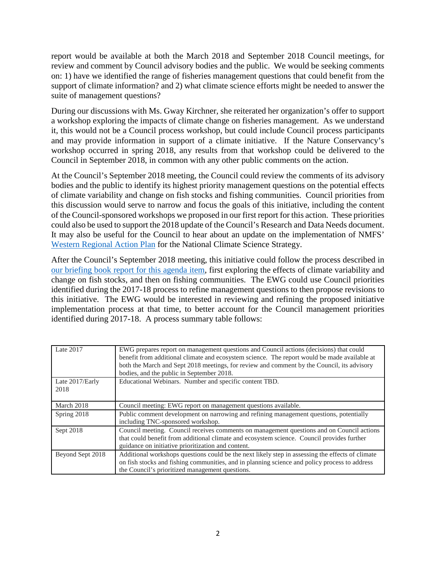report would be available at both the March 2018 and September 2018 Council meetings, for review and comment by Council advisory bodies and the public. We would be seeking comments on: 1) have we identified the range of fisheries management questions that could benefit from the support of climate information? and 2) what climate science efforts might be needed to answer the suite of management questions?

During our discussions with Ms. Gway Kirchner, she reiterated her organization's offer to support a workshop exploring the impacts of climate change on fisheries management. As we understand it, this would not be a Council process workshop, but could include Council process participants and may provide information in support of a climate initiative. If the Nature Conservancy's workshop occurred in spring 2018, any results from that workshop could be delivered to the Council in September 2018, in common with any other public comments on the action.

At the Council's September 2018 meeting, the Council could review the comments of its advisory bodies and the public to identify its highest priority management questions on the potential effects of climate variability and change on fish stocks and fishing communities. Council priorities from this discussion would serve to narrow and focus the goals of this initiative, including the content of the Council-sponsored workshops we proposed in our first report for this action. These priorities could also be used to support the 2018 update of the Council's Research and Data Needs document. It may also be useful for the Council to hear about an update on the implementation of NMFS' [Western Regional Action Plan](https://www.st.nmfs.noaa.gov/ecosystems/climate/rap/western-regional-action-plan) for the National Climate Science Strategy.

After the Council's September 2018 meeting, this initiative could follow the process described in [our briefing book report for this agenda item,](https://www.nwfsc.noaa.gov/news/events/program_reviews/2017/index.cfm) first exploring the effects of climate variability and change on fish stocks, and then on fishing communities. The EWG could use Council priorities identified during the 2017-18 process to refine management questions to then propose revisions to this initiative. The EWG would be interested in reviewing and refining the proposed initiative implementation process at that time, to better account for the Council management priorities identified during 2017-18. A process summary table follows:

| Late 2017               | EWG prepares report on management questions and Council actions (decisions) that could<br>benefit from additional climate and ecosystem science. The report would be made available at<br>both the March and Sept 2018 meetings, for review and comment by the Council, its advisory<br>bodies, and the public in September 2018. |
|-------------------------|-----------------------------------------------------------------------------------------------------------------------------------------------------------------------------------------------------------------------------------------------------------------------------------------------------------------------------------|
| Late 2017/Early<br>2018 | Educational Webinars. Number and specific content TBD.                                                                                                                                                                                                                                                                            |
| March 2018              | Council meeting: EWG report on management questions available.                                                                                                                                                                                                                                                                    |
| Spring 2018             | Public comment development on narrowing and refining management questions, potentially<br>including TNC-sponsored workshop.                                                                                                                                                                                                       |
| Sept 2018               | Council meeting. Council receives comments on management questions and on Council actions<br>that could benefit from additional climate and ecosystem science. Council provides further<br>guidance on initiative prioritization and content.                                                                                     |
| Beyond Sept 2018        | Additional workshops questions could be the next likely step in assessing the effects of climate<br>on fish stocks and fishing communities, and in planning science and policy process to address<br>the Council's prioritized management questions.                                                                              |